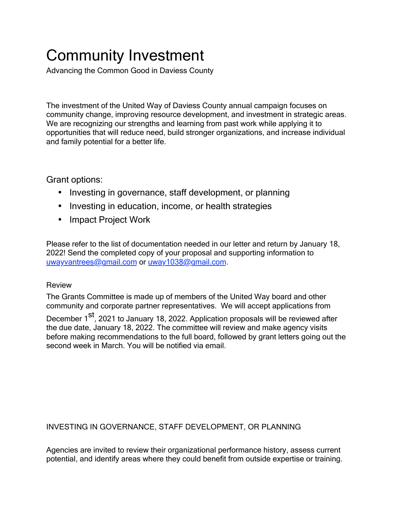# Community Investment

Advancing the Common Good in Daviess County

The investment of the United Way of Daviess County annual campaign focuses on community change, improving resource development, and investment in strategic areas. We are recognizing our strengths and learning from past work while applying it to opportunities that will reduce need, build stronger organizations, and increase individual and family potential for a better life.

## Grant options:

- Investing in governance, staff development, or planning
- Investing in education, income, or health strategies
- Impact Project Work

Please refer to the list of documentation needed in our letter and return by January 18, 2022! Send the completed copy of your proposal and supporting information to [uwayvantrees@gmail.com](mailto:uwayvantrees@gmail.com) or [uway1038@gmail.com.](mailto:uway1038@gmail.com)

## Review

The Grants Committee is made up of members of the United Way board and other community and corporate partner representatives. We will accept applications from

December 1<sup>st</sup>, 2021 to January 18, 2022. Application proposals will be reviewed after the due date, January 18, 2022. The committee will review and make agency visits before making recommendations to the full board, followed by grant letters going out the second week in March. You will be notified via email.

## INVESTING IN GOVERNANCE, STAFF DEVELOPMENT, OR PLANNING

Agencies are invited to review their organizational performance history, assess current potential, and identify areas where they could benefit from outside expertise or training.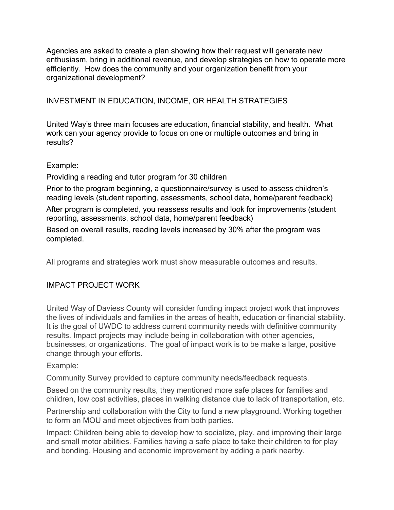Agencies are asked to create a plan showing how their request will generate new enthusiasm, bring in additional revenue, and develop strategies on how to operate more efficiently. How does the community and your organization benefit from your organizational development?

## INVESTMENT IN EDUCATION, INCOME, OR HEALTH STRATEGIES

United Way's three main focuses are education, financial stability, and health. What work can your agency provide to focus on one or multiple outcomes and bring in results?

#### Example:

Providing a reading and tutor program for 30 children

Prior to the program beginning, a questionnaire/survey is used to assess children's reading levels (student reporting, assessments, school data, home/parent feedback)

After program is completed, you reassess results and look for improvements (student reporting, assessments, school data, home/parent feedback)

Based on overall results, reading levels increased by 30% after the program was completed.

All programs and strategies work must show measurable outcomes and results.

## IMPACT PROJECT WORK

United Way of Daviess County will consider funding impact project work that improves the lives of individuals and families in the areas of health, education or financial stability. It is the goal of UWDC to address current community needs with definitive community results. Impact projects may include being in collaboration with other agencies, businesses, or organizations. The goal of impact work is to be make a large, positive change through your efforts.

#### Example:

Community Survey provided to capture community needs/feedback requests.

Based on the community results, they mentioned more safe places for families and children, low cost activities, places in walking distance due to lack of transportation, etc.

Partnership and collaboration with the City to fund a new playground. Working together to form an MOU and meet objectives from both parties.

Impact: Children being able to develop how to socialize, play, and improving their large and small motor abilities. Families having a safe place to take their children to for play and bonding. Housing and economic improvement by adding a park nearby.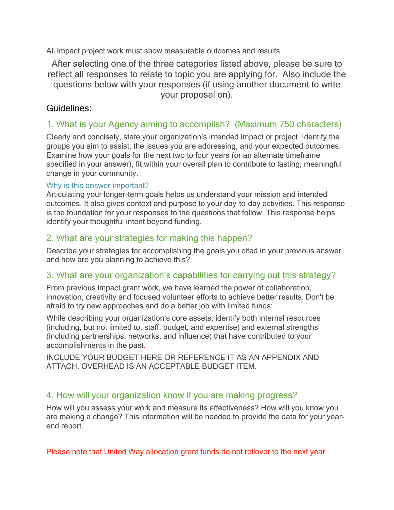All impact project work must show measurable outcomes and results.

After selecting one of the three categories listed above, please be sure to reflect all responses to relate to topic you are applying for. Also include the questions below with your responses (if using another document to write your proposal on).

## Guidelines:

# 1. What is your Agency aiming to accomplish? (Maximum 750 characters)

Clearly and concisely, state your organization's intended impact or project. Identify the groups you aim to assist, the issues you are addressing, and your expected outcomes. Examine how your goals for the next two to four years (or an alternate timeframe specified in your answer), fit within your overall plan to contribute to lasting, meaningful change in your community.

## Why is this answer important?

Articulating your longer-term goals helps us understand your mission and intended outcomes. It also gives context and purpose to your day-to-day activities. This response is the foundation for your responses to the questions that follow. This response helps identify your thoughtful intent beyond funding.

# 2. What are your strategies for making this happen?

Describe your strategies for accomplishing the goals you cited in your previous answer and how are you planning to achieve this?

# 3. What are your organization's capabilities for carrying out this strategy?

From previous impact grant work, we have learned the power of collaboration, innovation, creativity and focused volunteer efforts to achieve better results. Don't be afraid to try new approaches and do a better job with limited funds:

While describing your organization's core assets, identify both internal resources (including, but not limited to, staff, budget, and expertise) and external strengths (including partnerships, networks, and influence) that have contributed to your accomplishments in the past.

INCLUDE YOUR BUDGET HERE OR REFERENCE IT AS AN APPENDIX AND ATTACH. OVERHEAD IS AN ACCEPTABLE BUDGET ITEM.

# 4. How will your organization know if you are making progress?

How will you assess your work and measure its effectiveness? How will you know you are making a change? This information will be needed to provide the data for your yearend report.

Please note that United Way allocation grant funds do not rollover to the next year.